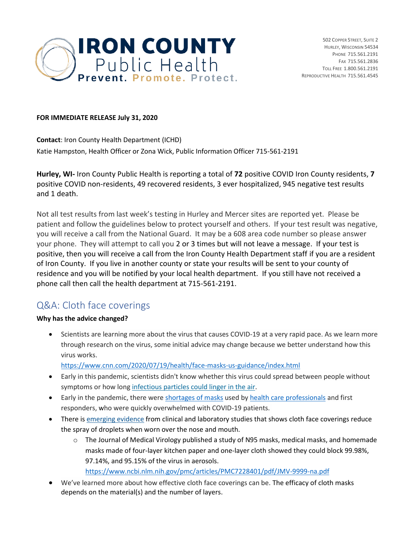

#### **FOR IMMEDIATE RELEASE July 31, 2020**

**Contact**: Iron County Health Department (ICHD) Katie Hampston, Health Officer or Zona Wick, Public Information Officer 715-561-2191

**Hurley, WI-** Iron County Public Health is reporting a total of **72** positive COVID Iron County residents, **7** positive COVID non-residents, 49 recovered residents, 3 ever hospitalized, 945 negative test results and 1 death.

Not all test results from last week's testing in Hurley and Mercer sites are reported yet. Please be patient and follow the guidelines below to protect yourself and others. If your test result was negative, you will receive a call from the National Guard. It may be a 608 area code number so please answer your phone. They will attempt to call you 2 or 3 times but will not leave a message. If your test is positive, then you will receive a call from the Iron County Health Department staff if you are a resident of Iron County. If you live in another county or state your results will be sent to your county of residence and you will be notified by your local health department. If you still have not received a phone call then call the health department at 715-561-2191.

# Q&A: Cloth face coverings

## **Why has the advice changed?**

• Scientists are learning more about the virus that causes COVID-19 at a very rapid pace. As we learn more through research on the virus, some initial advice may change because we better understand how this virus works.

<https://www.cnn.com/2020/07/19/health/face-masks-us-guidance/index.html>

- Early in this pandemic, scientists didn't know whether this virus could spread between people without symptoms or how long [infectious particles could linger in the air.](https://www.cnn.com/world/live-news/coronavirus-pandemic-05-28-20-intl/h_e408bf0eb7d6243e0045585db9938ccc)
- Early in the pandemic, there were [shortages of masks](https://www.cdc.gov/mmwr/volumes/69/wr/mm6928e3.htm) used by [health care professionals](https://www.cnn.com/2020/03/23/us/coronavirus-3d-printed-medical-supplies-trnd/index.html) and first responders, who were quickly overwhelmed with COVID-19 patients.
- There i[s emerging evidence](https://www.cdc.gov/coronavirus/2019-ncov/prevent-getting-sick/cloth-face-cover-guidance.html#recent-studies) from clinical and laboratory studies that shows cloth face coverings reduce the spray of droplets when worn over the nose and mouth.
	- o The Journal of Medical Virology published a study of N95 masks, medical masks, and homemade masks made of four‐layer kitchen paper and one‐layer cloth showed they could block 99.98%, 97.14%, and 95.15% of the virus in aerosols. <https://www.ncbi.nlm.nih.gov/pmc/articles/PMC7228401/pdf/JMV-9999-na.pdf>
- We've learned more about how effective cloth face coverings can be. The efficacy of cloth masks depends on the material(s) and the number of layers.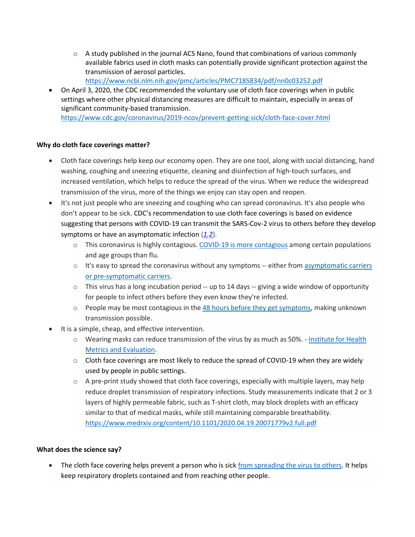$\circ$  A study published in the journal ACS Nano, found that combinations of various commonly available fabrics used in cloth masks can potentially provide significant protection against the transmission of aerosol particles.

<https://www.ncbi.nlm.nih.gov/pmc/articles/PMC7185834/pdf/nn0c03252.pdf>

• On April 3, 2020, the CDC recommended the voluntary use of cloth face coverings when in public settings where other physical distancing measures are difficult to maintain, especially in areas of significant community-based transmission. <https://www.cdc.gov/coronavirus/2019-ncov/prevent-getting-sick/cloth-face-cover.html>

## **Why do cloth face coverings matter?**

- Cloth face coverings help keep our economy open. They are one tool, along with social distancing, hand washing, coughing and sneezing etiquette, cleaning and disinfection of high-touch surfaces, and increased ventilation, which helps to reduce the spread of the virus. When we reduce the widespread transmission of the virus, more of the things we enjoy can stay open and reopen.
- It's not just people who are sneezing and coughing who can spread coronavirus. It's also people who don't appear to be sick. CDC's recommendation to use cloth face coverings is based on evidence suggesting that persons with COVID-19 can transmit the SARS-Cov-2 virus to others before they develop symptoms or have an asymptomatic infection (*[1](https://www.ncbi.nlm.nih.gov/pmc/articles/PMC7042844/)[,2](https://www.ncbi.nlm.nih.gov/pmc/articles/PMC7119514/pdf/mm6913e1.pdf)*).
	- $\circ$  This coronavirus is highly contagious. [COVID-19 is more contagious](https://www.cdc.gov/flu/symptoms/flu-vs-covid19.htm) among certain populations and age groups than flu.
	- $\circ$  It's easy to spread the coronavirus without any symptoms -- either from asymptomatic carriers [or pre-symptomatic carriers.](https://wwwnc.cdc.gov/eid/article/26/7/20-1595_article)
	- $\circ$  This virus has a long incubation period -- up to 14 days -- giving a wide window of opportunity for people to infect others before they even know they're infected.
	- $\circ$  People may be most contagious in the [48 hours before they get symptoms,](https://www.health.harvard.edu/diseases-and-conditions/if-youve-been-exposed-to-the-coronavirus) making unknown transmission possible.
- It is a simple, cheap, and effective intervention.
	- $\circ$  Wearing masks can reduce transmission of the virus by as much as 50%. Institute for Health [Metrics and Evaluation.](http://www.healthdata.org/news-release/new-ihme-covid-19-model-projects-nearly-180000-us-deaths)
	- $\circ$  Cloth face coverings are most likely to reduce the spread of COVID-19 when they are widely used by people in public settings.
	- $\circ$  A pre-print study showed that cloth face coverings, especially with multiple layers, may help reduce droplet transmission of respiratory infections. Study measurements indicate that 2 or 3 layers of highly permeable fabric, such as T-shirt cloth, may block droplets with an efficacy similar to that of medical masks, while still maintaining comparable breathability. <https://www.medrxiv.org/content/10.1101/2020.04.19.20071779v2.full.pdf>

## **What does the science say?**

• The cloth face covering helps prevent a person who is sick [from spreading the virus to others.](https://www.cdc.gov/coronavirus/2019-ncov/prevent-getting-sick/cloth-face-cover-guidance.html#recent-studies) It helps keep respiratory droplets contained and from reaching other people.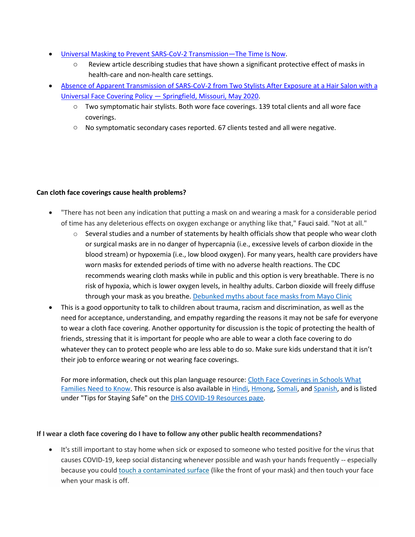- [Universal Masking to Prevent SARS-CoV-2 Transmission](https://secure-web.cisco.com/1rA_J5fSbHYdWXZpOG5h00ntD_x3571bC4VTvEGrNcDU_0SgSAWYMTsMQe2xXAAf6Sc1KxlZuibbhm_mWNaoWeZwHEbcuHIPj5R1VEn7TBKu5k7irSoYhgkNffF7zRVB5UkScBrFguVlloNLzFs_PNfDnr128wP-7lpFJogDeVcLnJCquRIvjkveYRWqlzzFYgFtb6k_MGOc9ihQ2QZAKL_tVWKHcdtsQm4hmzQ2lnps4bEZMlM-VAl-REsLOAGwAvMJB0RZ9U_Te2WfT93SCCQ/https%3A%2F%2Fjamanetwork.com%2Fjournals%2Fjama%2Ffullarticle%2F2768532)—The Time Is Now.
	- o Review article describing studies that have shown a significant protective effect of masks in health-care and non-health care settings.
- [Absence of Apparent Transmission of SARS-CoV-2 from Two Stylists After Exposure at a Hair Salon with a](https://www.cdc.gov/mmwr/volumes/69/wr/mm6928e2.htm?s_cid=mm6928e2_w)  Universal Face Covering Policy — [Springfield, Missouri, May 2020.](https://www.cdc.gov/mmwr/volumes/69/wr/mm6928e2.htm?s_cid=mm6928e2_w)
	- o Two symptomatic hair stylists. Both wore face coverings. 139 total clients and all wore face coverings.
	- $\circ$  No symptomatic secondary cases reported. 67 clients tested and all were negative.

#### **Can cloth face coverings cause health problems?**

- "There has not been any indication that putting a mask on and wearing a mask for a considerable period of time has any deleterious effects on oxygen exchange or anything like that," Fauci said. "Not at all."
	- $\circ$  Several studies and a number of statements by health officials show that people who wear cloth or surgical masks are in no danger of hypercapnia (i.e., excessive levels of carbon dioxide in the blood stream) or hypoxemia (i.e., low blood oxygen). For many years, health care providers have worn masks for extended periods of time with no adverse health reactions. The CDC recommends wearing cloth masks while in public and this option is very breathable. There is no risk of hypoxia, which is lower oxygen levels, in healthy adults. Carbon dioxide will freely diffuse through your mask as you breathe[. Debunked myths about face masks from Mayo](https://www.mayoclinichealthsystem.org/hometown-health/speaking-of-health/debunked-myths-about-face-masks?_sm_au_=iSVrM1MS1M02JsQpBLQtvK7BJGKjp) Clinic
- This is a good opportunity to talk to children about trauma, racism and discrimination, as well as the need for acceptance, understanding, and empathy regarding the reasons it may not be safe for everyone to wear a cloth face covering. Another opportunity for discussion is the topic of protecting the health of friends, stressing that it is important for people who are able to wear a cloth face covering to do whatever they can to protect people who are less able to do so. Make sure kids understand that it isn't their job to enforce wearing or not wearing face coverings.

For more information, check out this plan language resource: [Cloth Face Coverings in Schools What](https://www.dhs.wisconsin.gov/publications/p02711.pdf)  [Families Need to Know.](https://www.dhs.wisconsin.gov/publications/p02711.pdf) This resource is also available in [Hindi,](https://www.dhs.wisconsin.gov/publications/p02711hi.pdf) [Hmong,](https://www.dhs.wisconsin.gov/publications/p02711h.pdf) [Somali,](https://www.dhs.wisconsin.gov/publications/p02711so.pdf) and [Spanish,](https://www.dhs.wisconsin.gov/publications/p02711s.pdf) and is listed under "Tips for Staying Safe" on the [DHS COVID-19 Resources page.](https://www.dhs.wisconsin.gov/covid-19/resources.htm#tips-for-staying-safe)

## **If I wear a cloth face covering do I have to follow any other public health recommendations?**

• It's still important to stay home when sick or exposed to someone who tested positive for the virus that causes COVID-19, keep social distancing whenever possible and wash your hands frequently -- especially because you could [touch a contaminated surface](https://www.cnn.com/2020/03/18/health/coronavirus-surfaces-study/index.html) (like the front of your mask) and then touch your face when your mask is off.